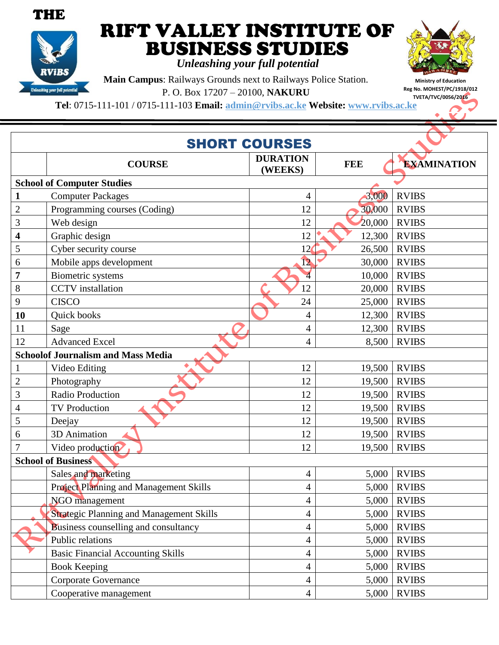



## RIFT VALLEY INSTITUTE OF BUSINESS STUDIES

*Unleashing your full potential*

**Main Campus**: Railways Grounds next to Railways Police Station. P. O. Box 17207 – 20100, **NAKURU**

**Ministry of Education Reg No. MOHEST/PC/1918/012 TVETA/TVC/0056/2016**

**Tel**: 0715-111-101 / 0715-111-103 **Email: admin@rvibs.ac.ke Website: www.rvibs.ac.ke**

| <b>SHORT COURSES</b>              |                                                 |                            |            |                    |  |  |
|-----------------------------------|-------------------------------------------------|----------------------------|------------|--------------------|--|--|
|                                   | <b>COURSE</b>                                   | <b>DURATION</b><br>(WEEKS) | <b>FEE</b> | <b>EXAMINATION</b> |  |  |
| <b>School of Computer Studies</b> |                                                 |                            |            |                    |  |  |
| 1                                 | <b>Computer Packages</b>                        | 4                          | 3,000      | <b>RVIBS</b>       |  |  |
| $\overline{2}$                    | Programming courses (Coding)                    | 12                         | 30,000     | <b>RVIBS</b>       |  |  |
| 3                                 | Web design                                      | 12                         | 20,000     | <b>RVIBS</b>       |  |  |
| 4                                 | Graphic design                                  | 12                         | 12,300     | <b>RVIBS</b>       |  |  |
| 5                                 | Cyber security course                           | 12                         | 26,500     | <b>RVIBS</b>       |  |  |
| 6                                 | Mobile apps development                         | 12                         | 30,000     | <b>RVIBS</b>       |  |  |
| 7                                 | Biometric systems                               | $\overline{4}$             | 10,000     | <b>RVIBS</b>       |  |  |
| 8                                 | <b>CCTV</b> installation                        | 12                         | 20,000     | <b>RVIBS</b>       |  |  |
| 9                                 | <b>CISCO</b>                                    | 24                         | 25,000     | <b>RVIBS</b>       |  |  |
| 10                                | Quick books                                     | $\overline{4}$             | 12,300     | <b>RVIBS</b>       |  |  |
| 11                                | Sage                                            | 4                          | 12,300     | <b>RVIBS</b>       |  |  |
| 12                                | <b>Advanced Excel</b>                           | $\overline{4}$             | 8,500      | <b>RVIBS</b>       |  |  |
|                                   | <b>Schoolof Journalism and Mass Media</b>       |                            |            |                    |  |  |
|                                   | Video Editing                                   | 12                         | 19,500     | <b>RVIBS</b>       |  |  |
| $\overline{2}$                    | Photography                                     | 12                         | 19,500     | <b>RVIBS</b>       |  |  |
| 3                                 | Radio Production                                | 12                         | 19,500     | <b>RVIBS</b>       |  |  |
| 4                                 | <b>TV Production</b>                            | 12                         | 19,500     | <b>RVIBS</b>       |  |  |
| 5                                 | Deejay                                          | 12                         | 19,500     | <b>RVIBS</b>       |  |  |
| 6                                 | 3D Animation                                    | 12                         | 19,500     | <b>RVIBS</b>       |  |  |
|                                   | Video production                                | 12                         | 19,500     | <b>RVIBS</b>       |  |  |
|                                   | <b>School of Business</b>                       |                            |            |                    |  |  |
|                                   | Sales and marketing                             | $\overline{4}$             | 5,000      | <b>RVIBS</b>       |  |  |
|                                   | Project Planning and Management Skills          | $\overline{4}$             | 5,000      | <b>RVIBS</b>       |  |  |
|                                   | <b>NGO</b> management                           | $\overline{4}$             | 5,000      | <b>RVIBS</b>       |  |  |
|                                   | <b>Strategic Planning and Management Skills</b> | $\overline{4}$             | 5,000      | <b>RVIBS</b>       |  |  |
|                                   | Business counselling and consultancy            | $\overline{4}$             | 5,000      | <b>RVIBS</b>       |  |  |
|                                   | Public relations                                | $\overline{4}$             | 5,000      | <b>RVIBS</b>       |  |  |
|                                   | <b>Basic Financial Accounting Skills</b>        | $\overline{4}$             | 5,000      | <b>RVIBS</b>       |  |  |
|                                   | <b>Book Keeping</b>                             | $\overline{4}$             | 5,000      | <b>RVIBS</b>       |  |  |
|                                   | Corporate Governance                            | $\overline{4}$             | 5,000      | <b>RVIBS</b>       |  |  |
|                                   | Cooperative management                          | $\overline{4}$             | 5,000      | <b>RVIBS</b>       |  |  |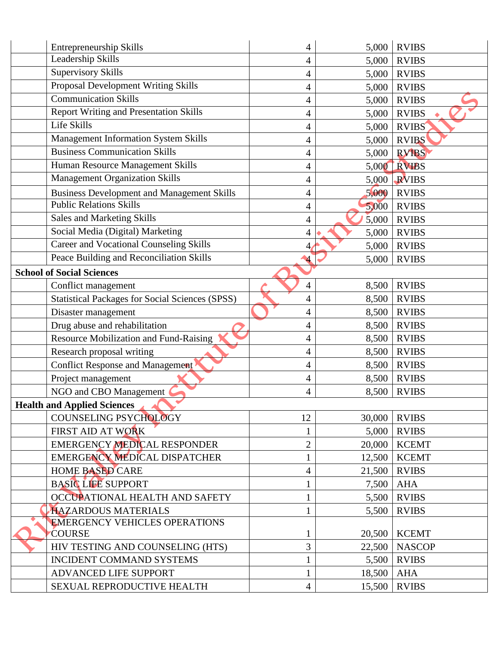|                                  | <b>Entrepreneurship Skills</b>                         | 4              | 5,000  | <b>RVIBS</b>  |  |  |
|----------------------------------|--------------------------------------------------------|----------------|--------|---------------|--|--|
|                                  | Leadership Skills                                      | 4              | 5,000  | <b>RVIBS</b>  |  |  |
|                                  | <b>Supervisory Skills</b>                              | 4              | 5,000  | <b>RVIBS</b>  |  |  |
|                                  | Proposal Development Writing Skills                    | 4              | 5,000  | <b>RVIBS</b>  |  |  |
|                                  | <b>Communication Skills</b>                            | 4              | 5,000  | <b>RVIBS</b>  |  |  |
|                                  | <b>Report Writing and Presentation Skills</b>          | 4              | 5,000  | <b>RVIBS</b>  |  |  |
|                                  | Life Skills                                            | 4              | 5,000  | <b>RVIBS</b>  |  |  |
|                                  | Management Information System Skills                   | 4              | 5,000  | <b>RVIBS</b>  |  |  |
|                                  | <b>Business Communication Skills</b>                   | 4              | 5,000  | <b>RVIBS</b>  |  |  |
|                                  | Human Resource Management Skills                       | 4              | 5,000  | RVIBS         |  |  |
|                                  | <b>Management Organization Skills</b>                  | 4              | 5,000  | <b>RVIBS</b>  |  |  |
|                                  | <b>Business Development and Management Skills</b>      | 4              | 5,000  | <b>RVIBS</b>  |  |  |
|                                  | <b>Public Relations Skills</b>                         | 4              | 5,000  | <b>RVIBS</b>  |  |  |
|                                  | Sales and Marketing Skills                             | 4              | 5,000  | <b>RVIBS</b>  |  |  |
|                                  | Social Media (Digital) Marketing                       | 4              | 5,000  | <b>RVIBS</b>  |  |  |
|                                  | <b>Career and Vocational Counseling Skills</b>         | 4,             | 5,000  | <b>RVIBS</b>  |  |  |
|                                  | Peace Building and Reconciliation Skills               | $\overline{4}$ | 5,000  | <b>RVIBS</b>  |  |  |
| <b>School of Social Sciences</b> |                                                        |                |        |               |  |  |
|                                  | Conflict management                                    | 4              | 8,500  | <b>RVIBS</b>  |  |  |
|                                  | <b>Statistical Packages for Social Sciences (SPSS)</b> | 4              | 8,500  | <b>RVIBS</b>  |  |  |
|                                  | Disaster management                                    | 4              | 8,500  | <b>RVIBS</b>  |  |  |
|                                  | Drug abuse and rehabilitation                          | 4              | 8,500  | <b>RVIBS</b>  |  |  |
|                                  | Resource Mobilization and Fund-Raising                 | 4              | 8,500  | <b>RVIBS</b>  |  |  |
|                                  | Research proposal writing                              | 4              | 8,500  | <b>RVIBS</b>  |  |  |
|                                  | <b>Conflict Response and Management</b>                | $\overline{4}$ | 8,500  | <b>RVIBS</b>  |  |  |
|                                  | Project management                                     | 4              | 8,500  | <b>RVIBS</b>  |  |  |
|                                  | NGO and CBO Management                                 | 4              | 8,500  | <b>RVIBS</b>  |  |  |
|                                  | <b>Health and Applied Sciences</b>                     |                |        |               |  |  |
|                                  | COUNSELING PSYCHOLOGY                                  | 12             | 30,000 | <b>RVIBS</b>  |  |  |
|                                  | FIRST AID AT WORK                                      | $\mathbf{1}$   | 5,000  | <b>RVIBS</b>  |  |  |
|                                  | <b>EMERGENCY MEDICAL RESPONDER</b>                     | $\overline{2}$ | 20,000 | <b>KCEMT</b>  |  |  |
|                                  | EMERGENCY MEDICAL DISPATCHER                           |                | 12,500 | <b>KCEMT</b>  |  |  |
|                                  | <b>HOME BASED CARE</b>                                 | 4              | 21,500 | <b>RVIBS</b>  |  |  |
|                                  | <b>BASIC LIFE SUPPORT</b>                              |                | 7,500  | <b>AHA</b>    |  |  |
|                                  | OCCUPATIONAL HEALTH AND SAFETY                         | 1              | 5,500  | <b>RVIBS</b>  |  |  |
|                                  | <b>HAZARDOUS MATERIALS</b>                             |                | 5,500  | <b>RVIBS</b>  |  |  |
|                                  | <b>EMERGENCY VEHICLES OPERATIONS</b>                   |                |        |               |  |  |
|                                  | <b>COURSE</b>                                          |                | 20,500 | <b>KCEMT</b>  |  |  |
|                                  | HIV TESTING AND COUNSELING (HTS)                       | 3              | 22,500 | <b>NASCOP</b> |  |  |
|                                  | <b>INCIDENT COMMAND SYSTEMS</b>                        |                | 5,500  | <b>RVIBS</b>  |  |  |
|                                  | ADVANCED LIFE SUPPORT                                  | $\mathbf{1}$   | 18,500 | <b>AHA</b>    |  |  |
|                                  | SEXUAL REPRODUCTIVE HEALTH                             | 4              | 15,500 | <b>RVIBS</b>  |  |  |